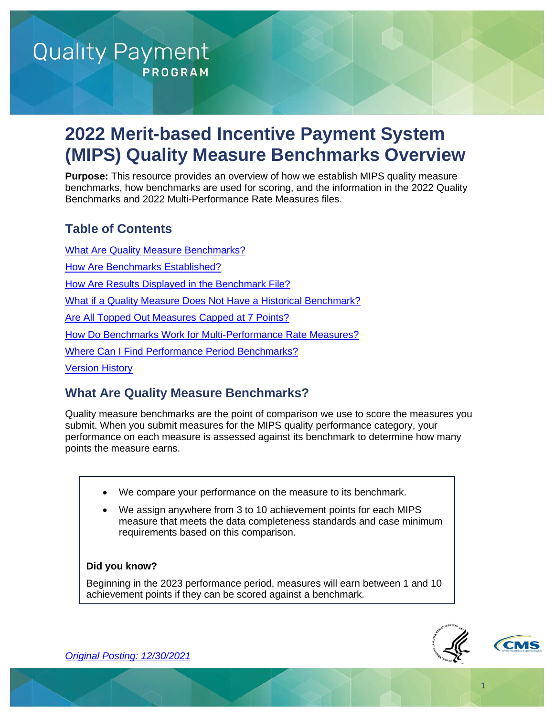# **Quality Payment PROGRAM**

# **2022 Merit-based Incentive Payment System (MIPS) Quality Measure Benchmarks Overview**

**Purpose:** This resource provides an overview of how we establish MIPS quality measure benchmarks, how benchmarks are used for scoring, and the information in the 2022 Quality Benchmarks and 2022 Multi-Performance Rate Measures files.

# **Table of Contents**

[What Are Quality Measure Benchmarks?](#page-0-0) [How Are Benchmarks Established?](#page-1-0) [How Are Results Displayed](#page-3-0) in the Benchmark File? What if a Quality Measure Does [Not Have a Historical Benchmark?](#page-4-0) **[Are All Topped Out Measures Capped at 7 Points?](#page-6-0)** [How Do Benchmarks Work for Multi-Performance Rate Measures?](#page-7-0) [Where Can I Find Performance Period Benchmarks?](#page-8-1)

[Version History](#page-8-0)

# <span id="page-0-0"></span>**What Are Quality Measure Benchmarks?**

Quality measure benchmarks are the point of comparison we use to score the measures you submit. When you submit measures for the MIPS quality performance category, your performance on each measure is assessed against its benchmark to determine how many points the measure earns.

- We compare your performance on the measure to its benchmark.
- We assign anywhere from 3 to 10 achievement points for each MIPS measure that meets the data completeness standards and case minimum requirements based on this comparison.

#### **Did you know?**

Beginning in the 2023 performance period, measures will earn between 1 and 10 achievement points if they can be scored against a benchmark.



1

*[Original Posting: 12/30/2021](#page-8-0)*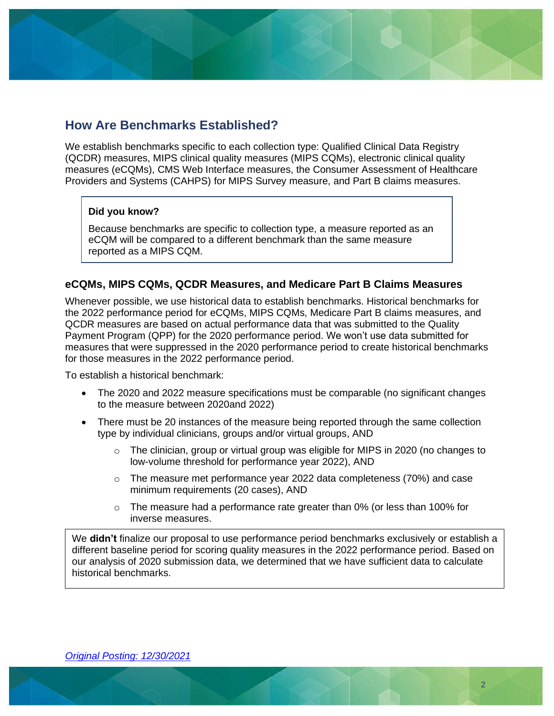# <span id="page-1-0"></span>**How Are Benchmarks Established?**

We establish benchmarks specific to each collection type: Qualified Clinical Data Registry (QCDR) measures, MIPS clinical quality measures (MIPS CQMs), electronic clinical quality measures (eCQMs), CMS Web Interface measures, the Consumer Assessment of Healthcare Providers and Systems (CAHPS) for MIPS Survey measure, and Part B claims measures.

#### **Did you know?**

Because benchmarks are specific to collection type, a measure reported as an eCQM will be compared to a different benchmark than the same measure reported as a MIPS CQM.

#### **eCQMs, MIPS CQMs, QCDR Measures, and Medicare Part B Claims Measures**

Whenever possible, we use historical data to establish benchmarks. Historical benchmarks for the 2022 performance period for eCQMs, MIPS CQMs, Medicare Part B claims measures, and QCDR measures are based on actual performance data that was submitted to the Quality Payment Program (QPP) for the 2020 performance period. We won't use data submitted for measures that were suppressed in the 2020 performance period to create historical benchmarks for those measures in the 2022 performance period.

To establish a historical benchmark:

- The 2020 and 2022 measure specifications must be comparable (no significant changes to the measure between 2020and 2022)
- There must be 20 instances of the measure being reported through the same collection type by individual clinicians, groups and/or virtual groups, AND
	- $\circ$  The clinician, group or virtual group was eligible for MIPS in 2020 (no changes to low-volume threshold for performance year 2022), AND
	- $\circ$  The measure met performance year 2022 data completeness (70%) and case minimum requirements (20 cases), AND
	- o The measure had a performance rate greater than 0% (or less than 100% for inverse measures.

We **didn't** finalize our proposal to use performance period benchmarks exclusively or establish a different baseline period for scoring quality measures in the 2022 performance period. Based on our analysis of 2020 submission data, we determined that we have sufficient data to calculate historical benchmarks.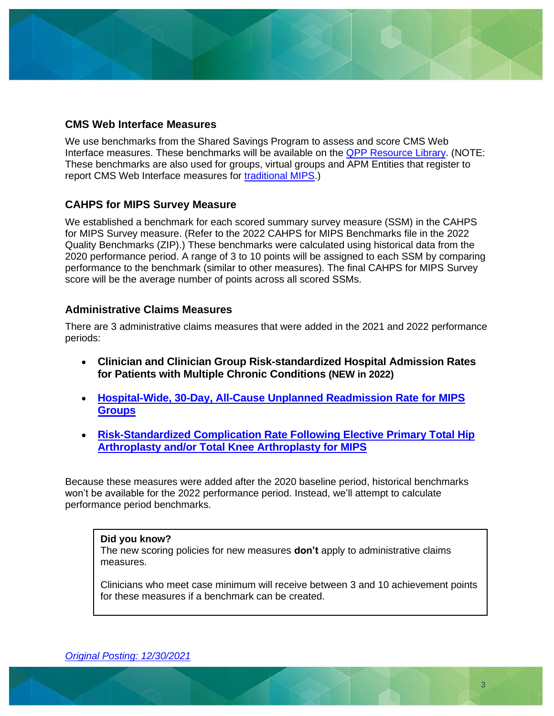#### **CMS Web Interface Measures**

We use benchmarks from the Shared Savings Program to assess and score CMS Web Interface measures. These benchmarks will be available on the **QPP Resource Library**. (NOTE: These benchmarks are also used for groups, virtual groups and APM Entities that register to report CMS Web Interface measures for [traditional MIPS.](https://qpp.cms.gov/mips/traditional-mips))

#### **CAHPS for MIPS Survey Measure**

We established a benchmark for each scored summary survey measure (SSM) in the CAHPS for MIPS Survey measure. (Refer to the 2022 CAHPS for MIPS Benchmarks file in the 2022 Quality Benchmarks (ZIP).) These benchmarks were calculated using historical data from the 2020 performance period. A range of 3 to 10 points will be assigned to each SSM by comparing performance to the benchmark (similar to other measures). The final CAHPS for MIPS Survey score will be the average number of points across all scored SSMs.

#### **Administrative Claims Measures**

There are 3 administrative claims measures that were added in the 2021 and 2022 performance periods:

- **Clinician and Clinician Group Risk-standardized Hospital Admission Rates for Patients with Multiple Chronic Conditions (NEW in 2022)**
- **[Hospital-Wide, 30-Day, All-Cause Unplanned Readmission Rate for MIPS](https://qpp-cm-prod-content.s3.amazonaws.com/uploads/1702/2022%20Hospital-Wide%20All-Cause%20Unplanned%20Readmission%20Measure.zip)  [Groups](https://qpp-cm-prod-content.s3.amazonaws.com/uploads/1702/2022%20Hospital-Wide%20All-Cause%20Unplanned%20Readmission%20Measure.zip)**
- **[Risk-Standardized Complication Rate Following Elective Primary Total Hip](https://qpp-cm-prod-content.s3.amazonaws.com/uploads/1703/2022%20Hip%20Arthroplasty%20and%20Knee%20Arthroplasty%20Complication%20Measure.zip)  [Arthroplasty and/or Total Knee Arthroplasty for MIPS](https://qpp-cm-prod-content.s3.amazonaws.com/uploads/1703/2022%20Hip%20Arthroplasty%20and%20Knee%20Arthroplasty%20Complication%20Measure.zip)**

Because these measures were added after the 2020 baseline period, historical benchmarks won't be available for the 2022 performance period. Instead, we'll attempt to calculate performance period benchmarks.

#### **Did you know?**

The new scoring policies for new measures **don't** apply to administrative claims measures.

Clinicians who meet case minimum will receive between 3 and 10 achievement points for these measures if a benchmark can be created.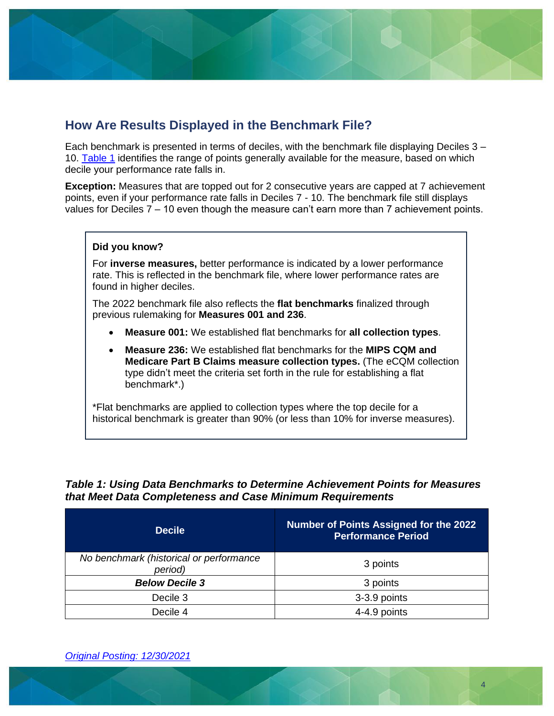

# <span id="page-3-0"></span>**How Are Results Displayed in the Benchmark File?**

Each benchmark is presented in terms of deciles, with the benchmark file displaying Deciles 3 – 10. [Table 1](#page-3-1) identifies the range of points generally available for the measure, based on which decile your performance rate falls in.

**Exception:** Measures that are topped out for 2 consecutive years are capped at 7 achievement points, even if your performance rate falls in Deciles 7 - 10. The benchmark file still displays values for Deciles 7 – 10 even though the measure can't earn more than 7 achievement points.

#### **Did you know?**

For **inverse measures,** better performance is indicated by a lower performance rate. This is reflected in the benchmark file, where lower performance rates are found in higher deciles.

The 2022 benchmark file also reflects the **flat benchmarks** finalized through previous rulemaking for **Measures 001 and 236**.

- **Measure 001:** We established flat benchmarks for **all collection types**.
- **Measure 236:** We established flat benchmarks for the **MIPS CQM and Medicare Part B Claims measure collection types.** (The eCQM collection type didn't meet the criteria set forth in the rule for establishing a flat benchmark\*.)

\*Flat benchmarks are applied to collection types where the top decile for a historical benchmark is greater than 90% (or less than 10% for inverse measures).

#### <span id="page-3-1"></span>*Table 1: Using Data Benchmarks to Determine Achievement Points for Measures that Meet Data Completeness and Case Minimum Requirements*

| <b>Decile</b>                                      | <b>Number of Points Assigned for the 2022</b><br><b>Performance Period</b> |  |  |
|----------------------------------------------------|----------------------------------------------------------------------------|--|--|
| No benchmark (historical or performance<br>period) | 3 points                                                                   |  |  |
| <b>Below Decile 3</b>                              | 3 points                                                                   |  |  |
| Decile 3                                           | 3-3.9 points                                                               |  |  |
| Decile 4                                           | 4-4.9 points                                                               |  |  |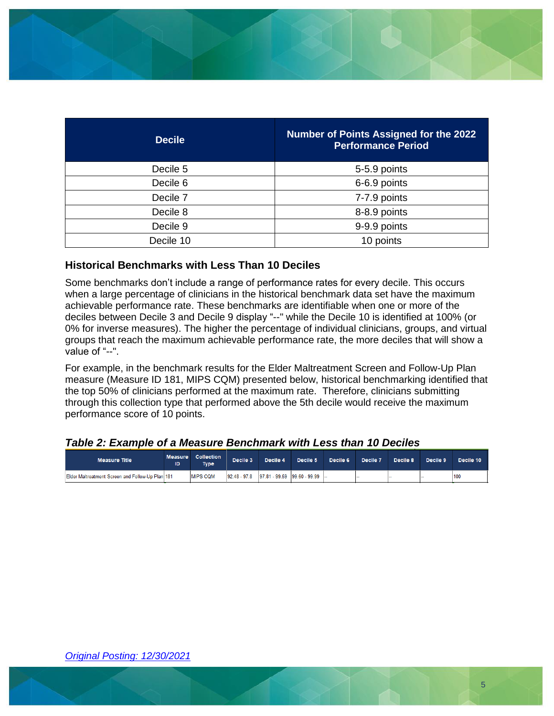

| <b>Decile</b> | <b>Number of Points Assigned for the 2022</b><br><b>Performance Period</b> |
|---------------|----------------------------------------------------------------------------|
| Decile 5      | 5-5.9 points                                                               |
| Decile 6      | 6-6.9 points                                                               |
| Decile 7      | 7-7.9 points                                                               |
| Decile 8      | 8-8.9 points                                                               |
| Decile 9      | 9-9.9 points                                                               |
| Decile 10     | 10 points                                                                  |

#### **Historical Benchmarks with Less Than 10 Deciles**

Some benchmarks don't include a range of performance rates for every decile. This occurs when a large percentage of clinicians in the historical benchmark data set have the maximum achievable performance rate. These benchmarks are identifiable when one or more of the deciles between Decile 3 and Decile 9 display "--" while the Decile 10 is identified at 100% (or 0% for inverse measures). The higher the percentage of individual clinicians, groups, and virtual groups that reach the maximum achievable performance rate, the more deciles that will show a value of "--".

For example, in the benchmark results for the Elder Maltreatment Screen and Follow-Up Plan measure (Measure ID 181, MIPS CQM) presented below, historical benchmarking identified that the top 50% of clinicians performed at the maximum rate. Therefore, clinicians submitting through this collection type that performed above the 5th decile would receive the maximum performance score of 10 points.

#### *Table 2: Example of a Measure Benchmark with Less than 10 Deciles*

<span id="page-4-0"></span>

| <b>Measure Title</b>                             | <b>Measure</b><br>ID | <b>Collection</b><br><b>Type</b> | Decile 3 | Decile 4 | Decile 5                                     | Decile 6 | Decile <sub>7</sub> | Decile 8 | Decile 9 | Decile 10 |
|--------------------------------------------------|----------------------|----------------------------------|----------|----------|----------------------------------------------|----------|---------------------|----------|----------|-----------|
| Elder Maltreatment Screen and Follow-Up Plan 181 |                      | <b>IMIPS COM</b>                 |          |          | $92.48 - 97.8$ 97.81 - 99.59 99.60 - 99.99 - |          |                     |          |          | 100       |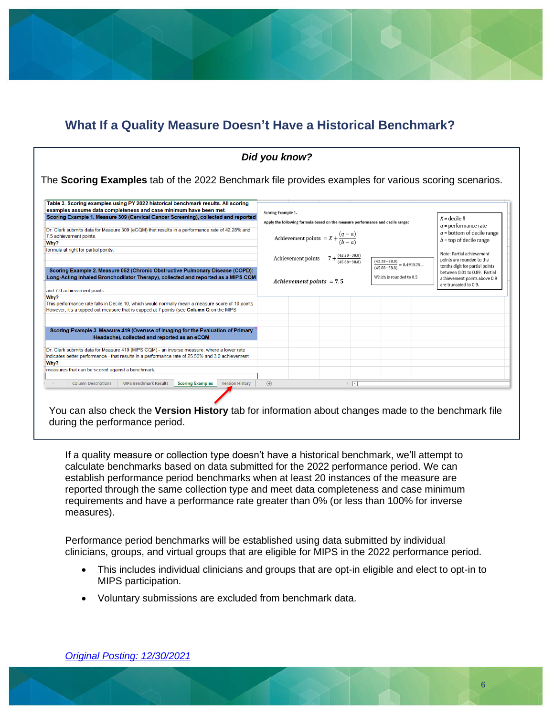# **What If a Quality Measure Doesn't Have a Historical Benchmark?**

| Table 3. Scoring examples using PY 2022 historical benchmark results. All scoring                                                                                                             |                                                                                      |                            |                                                                                |  |                                  |                                                                                        |  |
|-----------------------------------------------------------------------------------------------------------------------------------------------------------------------------------------------|--------------------------------------------------------------------------------------|----------------------------|--------------------------------------------------------------------------------|--|----------------------------------|----------------------------------------------------------------------------------------|--|
| examples assume data completeness and case minimum have been met.                                                                                                                             | Scoring Example 1.                                                                   |                            |                                                                                |  |                                  |                                                                                        |  |
| Scoring Example 1. Measure 309 (Cervical Cancer Screening), collected and reported                                                                                                            |                                                                                      |                            | Apply the following formula based on the measure performance and decile range: |  |                                  | $X =$ decile #                                                                         |  |
| Dr. Clark submits data for Measure 309 (eCQM) that results in a performance rate of 42.28% and<br>7.5 achievement points.<br>Why?                                                             |                                                                                      |                            | Achievement points = $X + \frac{(q-a)}{(b-a)}$                                 |  |                                  | $q =$ performance rate<br>$a =$ bottom of decile range<br>$b =$ top of decile range    |  |
| formula at right for partial points.                                                                                                                                                          |                                                                                      |                            |                                                                                |  |                                  | Note: Partial achievement                                                              |  |
|                                                                                                                                                                                               | Achievement points = $7 + \frac{(42.28 - 38.8)}{(45.88 - 38.8)}$<br>$(42.28 - 38.8)$ |                            |                                                                                |  | points are rounded to the        |                                                                                        |  |
| Scoring Example 2. Measure 052 (Chronic Obstructive Pulmonary Disease (COPD):                                                                                                                 |                                                                                      |                            |                                                                                |  | $= 0.491525$<br>$(45.88 - 38.8)$ | tenths digit for partial points                                                        |  |
| Long-Acting Inhaled Bronchodilator Therapy), collected and reported as a MIPS CQM                                                                                                             |                                                                                      | Achievement points $= 7.5$ |                                                                                |  | Which is rounded to 0.5          | between 0.01 to 0.89. Partial<br>achievement points above 0.9<br>are truncated to 0.9. |  |
| and 7.0 achievement points.                                                                                                                                                                   |                                                                                      |                            |                                                                                |  |                                  |                                                                                        |  |
| Why?                                                                                                                                                                                          |                                                                                      |                            |                                                                                |  |                                  |                                                                                        |  |
| This performance rate falls in Decile 10, which would normally mean a measure score of 10 points.<br>However, it's a topped out measure that is capped at 7 points (see Column Q on the MIPS  |                                                                                      |                            |                                                                                |  |                                  |                                                                                        |  |
|                                                                                                                                                                                               |                                                                                      |                            |                                                                                |  |                                  |                                                                                        |  |
|                                                                                                                                                                                               |                                                                                      |                            |                                                                                |  |                                  |                                                                                        |  |
| Scoring Example 3. Measure 419 (Overuse of Imaging for the Evaluation of Primary<br>Headache), collected and reported as an eCQM                                                              |                                                                                      |                            |                                                                                |  |                                  |                                                                                        |  |
|                                                                                                                                                                                               |                                                                                      |                            |                                                                                |  |                                  |                                                                                        |  |
| Dr. Clark submits data for Measure 419 (MIPS CQM) - an inverse measure, where a lower rate<br>indicates better performance - that results in a performance rate of 25.56% and 3.0 achievement |                                                                                      |                            |                                                                                |  |                                  |                                                                                        |  |
| Why?                                                                                                                                                                                          |                                                                                      |                            |                                                                                |  |                                  |                                                                                        |  |
|                                                                                                                                                                                               |                                                                                      |                            |                                                                                |  |                                  |                                                                                        |  |
| measures that can be scored against a benchmark.                                                                                                                                              |                                                                                      |                            |                                                                                |  |                                  |                                                                                        |  |

You can also check the **Version History** tab for information about changes made to the benchmark file during the performance period.

If a quality measure or collection type doesn't have a historical benchmark, we'll attempt to calculate benchmarks based on data submitted for the 2022 performance period. We can establish performance period benchmarks when at least 20 instances of the measure are reported through the same collection type and meet data completeness and case minimum requirements and have a performance rate greater than 0% (or less than 100% for inverse measures).

Performance period benchmarks will be established using data submitted by individual clinicians, groups, and virtual groups that are eligible for MIPS in the 2022 performance period.

- This includes individual clinicians and groups that are opt-in eligible and elect to opt-in to MIPS participation.
- Voluntary submissions are excluded from benchmark data.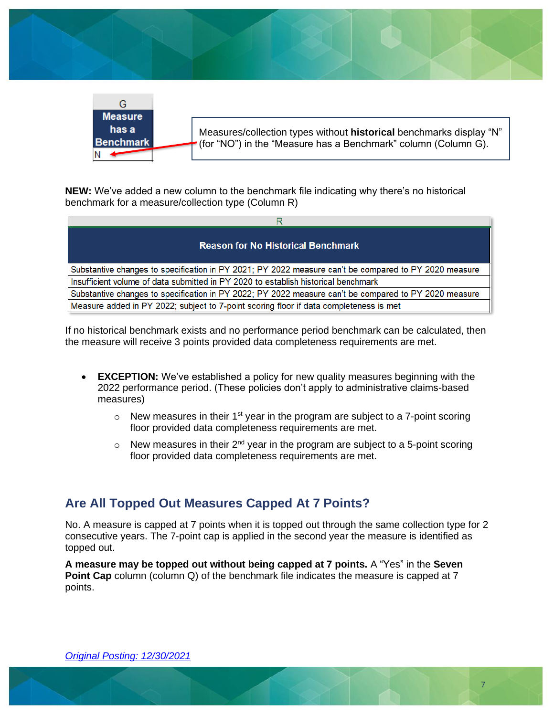



**NEW:** We've added a new column to the benchmark file indicating why there's no historical benchmark for a measure/collection type (Column R)

| <b>Reason for No Historical Benchmark</b>                                                             |
|-------------------------------------------------------------------------------------------------------|
| Substantive changes to specification in PY 2021; PY 2022 measure can't be compared to PY 2020 measure |
| Insufficient volume of data submitted in PY 2020 to establish historical benchmark                    |
| Substantive changes to specification in PY 2022; PY 2022 measure can't be compared to PY 2020 measure |
| Measure added in PY 2022; subject to 7-point scoring floor if data completeness is met                |

If no historical benchmark exists and no performance period benchmark can be calculated, then the measure will receive 3 points provided data completeness requirements are met.

- **EXCEPTION:** We've established a policy for new quality measures beginning with the 2022 performance period. (These policies don't apply to administrative claims-based measures)
	- $\circ$  New measures in their 1<sup>st</sup> year in the program are subject to a 7-point scoring floor provided data completeness requirements are met.
	- $\circ$  New measures in their 2<sup>nd</sup> year in the program are subject to a 5-point scoring floor provided data completeness requirements are met.

# <span id="page-6-0"></span>**Are All Topped Out Measures Capped At 7 Points?**

No. A measure is capped at 7 points when it is topped out through the same collection type for 2 consecutive years. The 7-point cap is applied in the second year the measure is identified as topped out.

**A measure may be topped out without being capped at 7 points.** A "Yes" in the **Seven Point Cap** column (column Q) of the benchmark file indicates the measure is capped at 7 points.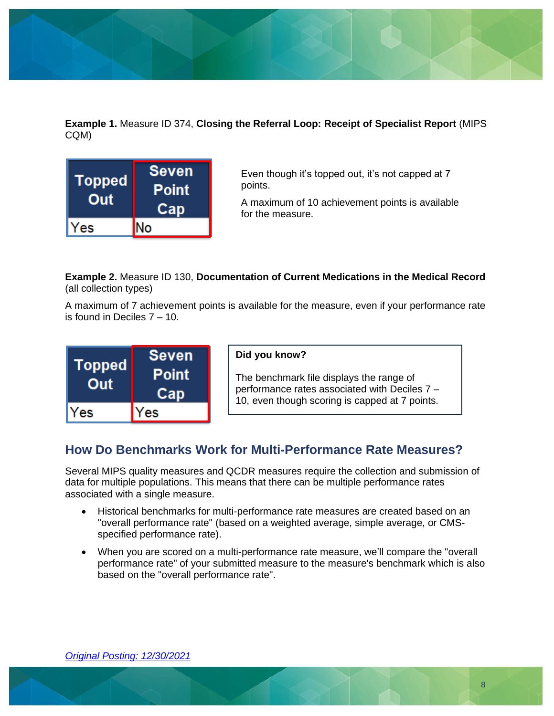

**Example 1.** Measure ID 374, **Closing the Referral Loop: Receipt of Specialist Report** (MIPS CQM)



Even though it's topped out, it's not capped at 7 points.

A maximum of 10 achievement points is available for the measure.

#### **Example 2.** Measure ID 130, **Documentation of Current Medications in the Medical Record**  (all collection types)

A maximum of 7 achievement points is available for the measure, even if your performance rate is found in Deciles 7 – 10.

| <b>Topped</b><br>Out | <b>Seven</b><br><b>Point</b><br>Cap |
|----------------------|-------------------------------------|
| Yes                  | Yes                                 |

#### **Did you know?**

The benchmark file displays the range of performance rates associated with Deciles 7 – 10, even though scoring is capped at 7 points.

# <span id="page-7-0"></span>**How Do Benchmarks Work for Multi-Performance Rate Measures?**

Several MIPS quality measures and QCDR measures require the collection and submission of data for multiple populations. This means that there can be multiple performance rates associated with a single measure.

- Historical benchmarks for multi-performance rate measures are created based on an "overall performance rate" (based on a weighted average, simple average, or CMSspecified performance rate).
- When you are scored on a multi-performance rate measure, we'll compare the "overall performance rate" of your submitted measure to the measure's benchmark which is also based on the "overall performance rate".